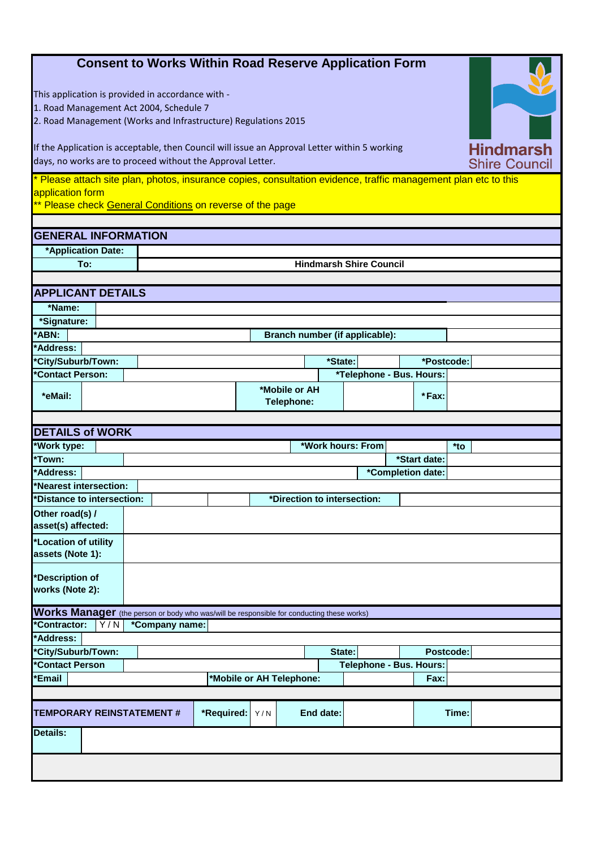| <b>Consent to Works Within Road Reserve Application Form</b><br>This application is provided in accordance with -<br>1. Road Management Act 2004, Schedule 7<br>2. Road Management (Works and Infrastructure) Regulations 2015 |                             |            |                             |                   |                                |                   |       |  |  |  |  |  |
|--------------------------------------------------------------------------------------------------------------------------------------------------------------------------------------------------------------------------------|-----------------------------|------------|-----------------------------|-------------------|--------------------------------|-------------------|-------|--|--|--|--|--|
| <b>Hindmarsh</b><br>If the Application is acceptable, then Council will issue an Approval Letter within 5 working<br>days, no works are to proceed without the Approval Letter.<br><b>Shire Council</b>                        |                             |            |                             |                   |                                |                   |       |  |  |  |  |  |
| * Please attach site plan, photos, insurance copies, consultation evidence, traffic management plan etc to this<br>application form<br>** Please check General Conditions on reverse of the page                               |                             |            |                             |                   |                                |                   |       |  |  |  |  |  |
|                                                                                                                                                                                                                                |                             |            |                             |                   |                                |                   |       |  |  |  |  |  |
| <b>GENERAL INFORMATION</b>                                                                                                                                                                                                     |                             |            |                             |                   |                                |                   |       |  |  |  |  |  |
| *Application Date:                                                                                                                                                                                                             |                             |            |                             |                   |                                |                   |       |  |  |  |  |  |
| To:                                                                                                                                                                                                                            |                             |            |                             |                   | <b>Hindmarsh Shire Council</b> |                   |       |  |  |  |  |  |
|                                                                                                                                                                                                                                |                             |            |                             |                   |                                |                   |       |  |  |  |  |  |
| <b>APPLICANT DETAILS</b>                                                                                                                                                                                                       |                             |            |                             |                   |                                |                   |       |  |  |  |  |  |
| *Name:                                                                                                                                                                                                                         |                             |            |                             |                   |                                |                   |       |  |  |  |  |  |
| *Signature:                                                                                                                                                                                                                    |                             |            |                             |                   |                                |                   |       |  |  |  |  |  |
| *ABN:                                                                                                                                                                                                                          |                             |            |                             |                   | Branch number (if applicable): |                   |       |  |  |  |  |  |
| *Address:                                                                                                                                                                                                                      |                             |            |                             |                   |                                |                   |       |  |  |  |  |  |
| 'City/Suburb/Town:                                                                                                                                                                                                             |                             |            |                             | *State:           |                                | *Postcode:        |       |  |  |  |  |  |
| 'Contact Person:                                                                                                                                                                                                               |                             |            |                             |                   | *Telephone - Bus. Hours:       |                   |       |  |  |  |  |  |
| *eMail:                                                                                                                                                                                                                        |                             |            | *Mobile or AH<br>Telephone: |                   |                                | $*Fax$ :          |       |  |  |  |  |  |
|                                                                                                                                                                                                                                |                             |            |                             |                   |                                |                   |       |  |  |  |  |  |
| <b>DETAILS of WORK</b>                                                                                                                                                                                                         |                             |            |                             |                   |                                |                   |       |  |  |  |  |  |
| *Work type:                                                                                                                                                                                                                    |                             |            |                             | *Work hours: From |                                |                   | *to   |  |  |  |  |  |
| *Town:                                                                                                                                                                                                                         | *Start date:                |            |                             |                   |                                |                   |       |  |  |  |  |  |
| *Address:                                                                                                                                                                                                                      |                             |            |                             |                   |                                | *Completion date: |       |  |  |  |  |  |
| Nearest intersection:                                                                                                                                                                                                          |                             |            |                             |                   |                                |                   |       |  |  |  |  |  |
| 'Distance to intersection:                                                                                                                                                                                                     | *Direction to intersection: |            |                             |                   |                                |                   |       |  |  |  |  |  |
| Other road(s) /<br>asset(s) affected:                                                                                                                                                                                          |                             |            |                             |                   |                                |                   |       |  |  |  |  |  |
| *Location of utility                                                                                                                                                                                                           |                             |            |                             |                   |                                |                   |       |  |  |  |  |  |
| assets (Note 1):                                                                                                                                                                                                               |                             |            |                             |                   |                                |                   |       |  |  |  |  |  |
| *Description of<br>works (Note 2):                                                                                                                                                                                             |                             |            |                             |                   |                                |                   |       |  |  |  |  |  |
| Works Manager (the person or body who was/will be responsible for conducting these works)                                                                                                                                      |                             |            |                             |                   |                                |                   |       |  |  |  |  |  |
| 'Contractor:<br>Y/N                                                                                                                                                                                                            | *Company name:              |            |                             |                   |                                |                   |       |  |  |  |  |  |
| *Address:                                                                                                                                                                                                                      |                             |            |                             |                   |                                |                   |       |  |  |  |  |  |
| *City/Suburb/Town:                                                                                                                                                                                                             |                             |            |                             |                   | State:                         | Postcode:         |       |  |  |  |  |  |
| <b>Contact Person</b>                                                                                                                                                                                                          |                             |            |                             |                   | <b>Telephone - Bus. Hours:</b> |                   |       |  |  |  |  |  |
| 'Email                                                                                                                                                                                                                         |                             |            | *Mobile or AH Telephone:    |                   |                                | Fax:              |       |  |  |  |  |  |
|                                                                                                                                                                                                                                |                             |            |                             |                   |                                |                   |       |  |  |  |  |  |
| <b>TEMPORARY REINSTATEMENT#</b>                                                                                                                                                                                                |                             | *Required: | Y/N                         | End date:         |                                |                   | Time: |  |  |  |  |  |
| Details:                                                                                                                                                                                                                       |                             |            |                             |                   |                                |                   |       |  |  |  |  |  |
|                                                                                                                                                                                                                                |                             |            |                             |                   |                                |                   |       |  |  |  |  |  |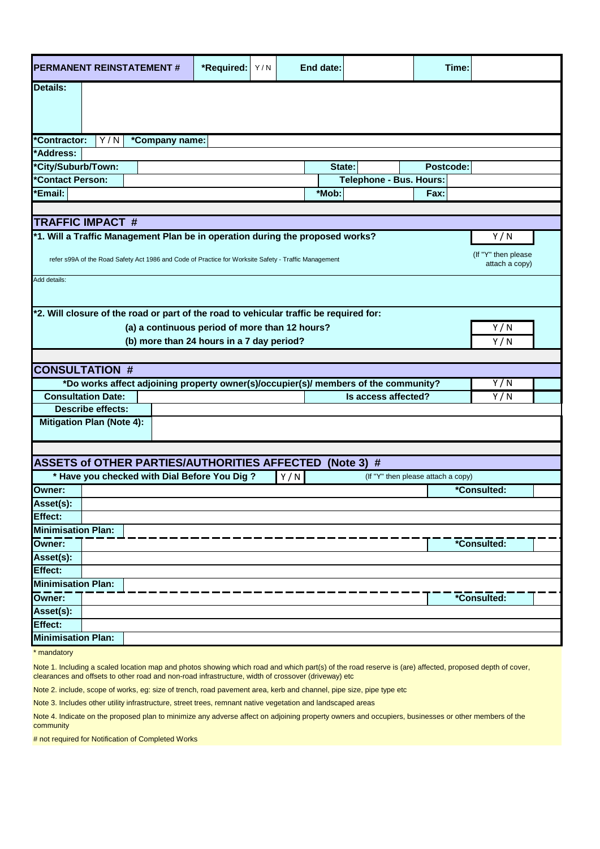| <b>PERMANENT REINSTATEMENT#</b>                                                                                                                                                                       | *Required:<br>Y/N                                                                   | End date:               |                                | Time:                              |             |  |  |  |  |  |  |  |  |
|-------------------------------------------------------------------------------------------------------------------------------------------------------------------------------------------------------|-------------------------------------------------------------------------------------|-------------------------|--------------------------------|------------------------------------|-------------|--|--|--|--|--|--|--|--|
| <b>Details:</b>                                                                                                                                                                                       |                                                                                     |                         |                                |                                    |             |  |  |  |  |  |  |  |  |
| Y/N<br>*Contractor:<br>*Company name:                                                                                                                                                                 |                                                                                     |                         |                                |                                    |             |  |  |  |  |  |  |  |  |
| *Address:                                                                                                                                                                                             |                                                                                     |                         |                                |                                    |             |  |  |  |  |  |  |  |  |
| *City/Suburb/Town:                                                                                                                                                                                    |                                                                                     | State:                  |                                | Postcode:                          |             |  |  |  |  |  |  |  |  |
| *Contact Person:                                                                                                                                                                                      |                                                                                     |                         | <b>Telephone - Bus. Hours:</b> |                                    |             |  |  |  |  |  |  |  |  |
| <b>Email:</b>                                                                                                                                                                                         |                                                                                     | *Mob:                   |                                |                                    |             |  |  |  |  |  |  |  |  |
|                                                                                                                                                                                                       |                                                                                     |                         |                                |                                    |             |  |  |  |  |  |  |  |  |
| <b>TRAFFIC IMPACT #</b>                                                                                                                                                                               |                                                                                     |                         |                                |                                    |             |  |  |  |  |  |  |  |  |
| *1. Will a Traffic Management Plan be in operation during the proposed works?<br>refer s99A of the Road Safety Act 1986 and Code of Practice for Worksite Safety - Traffic Management<br>Add details: | Y/N<br>(If "Y" then please<br>attach a copy)                                        |                         |                                |                                    |             |  |  |  |  |  |  |  |  |
|                                                                                                                                                                                                       |                                                                                     |                         |                                |                                    |             |  |  |  |  |  |  |  |  |
| *2. Will closure of the road or part of the road to vehicular traffic be required for:<br>(a) a continuous period of more than 12 hours?<br>(b) more than 24 hours in a 7 day period?                 |                                                                                     | Y/N<br>$\overline{Y/N}$ |                                |                                    |             |  |  |  |  |  |  |  |  |
| <b>CONSULTATION #</b>                                                                                                                                                                                 |                                                                                     |                         |                                |                                    |             |  |  |  |  |  |  |  |  |
|                                                                                                                                                                                                       | *Do works affect adjoining property owner(s)/occupier(s)/ members of the community? |                         |                                |                                    | Y/N         |  |  |  |  |  |  |  |  |
| <b>Consultation Date:</b>                                                                                                                                                                             |                                                                                     |                         |                                | Is access affected?                |             |  |  |  |  |  |  |  |  |
| <b>Describe effects:</b>                                                                                                                                                                              |                                                                                     |                         |                                |                                    |             |  |  |  |  |  |  |  |  |
| <b>Mitigation Plan (Note 4):</b>                                                                                                                                                                      |                                                                                     |                         |                                |                                    |             |  |  |  |  |  |  |  |  |
|                                                                                                                                                                                                       |                                                                                     |                         |                                |                                    |             |  |  |  |  |  |  |  |  |
| <b>ASSETS of OTHER PARTIES/AUTHORITIES AFFECTED</b>                                                                                                                                                   |                                                                                     |                         | (Note 3) $#$                   |                                    |             |  |  |  |  |  |  |  |  |
| * Have you checked with Dial Before You Dig ?                                                                                                                                                         |                                                                                     | Y/N                     |                                | (If "Y" then please attach a copy) |             |  |  |  |  |  |  |  |  |
| Owner:                                                                                                                                                                                                |                                                                                     |                         |                                |                                    | *Consulted: |  |  |  |  |  |  |  |  |
| Asset(s):                                                                                                                                                                                             |                                                                                     |                         |                                |                                    |             |  |  |  |  |  |  |  |  |
| Effect:                                                                                                                                                                                               |                                                                                     |                         |                                |                                    |             |  |  |  |  |  |  |  |  |
| <b>Minimisation Plan:</b>                                                                                                                                                                             |                                                                                     |                         |                                |                                    | *Consulted: |  |  |  |  |  |  |  |  |
| Owner:                                                                                                                                                                                                |                                                                                     |                         |                                |                                    |             |  |  |  |  |  |  |  |  |
| Asset(s):                                                                                                                                                                                             |                                                                                     |                         |                                |                                    |             |  |  |  |  |  |  |  |  |
| Effect:                                                                                                                                                                                               |                                                                                     |                         |                                |                                    |             |  |  |  |  |  |  |  |  |
| <b>Minimisation Plan:</b>                                                                                                                                                                             |                                                                                     |                         |                                |                                    |             |  |  |  |  |  |  |  |  |
| Owner:                                                                                                                                                                                                |                                                                                     |                         |                                |                                    | *Consulted: |  |  |  |  |  |  |  |  |
| Asset(s):                                                                                                                                                                                             |                                                                                     |                         |                                |                                    |             |  |  |  |  |  |  |  |  |
| Effect:                                                                                                                                                                                               |                                                                                     |                         |                                |                                    |             |  |  |  |  |  |  |  |  |
| <b>Minimisation Plan:</b>                                                                                                                                                                             |                                                                                     |                         |                                |                                    |             |  |  |  |  |  |  |  |  |

\* mandatory

Note 1. Including a scaled location map and photos showing which road and which part(s) of the road reserve is (are) affected, proposed depth of cover, clearances and offsets to other road and non-road infrastructure, width of crossover (driveway) etc

Note 2. include, scope of works, eg: size of trench, road pavement area, kerb and channel, pipe size, pipe type etc

Note 3. Includes other utility infrastructure, street trees, remnant native vegetation and landscaped areas

Note 4. Indicate on the proposed plan to minimize any adverse affect on adjoining property owners and occupiers, businesses or other members of the community

# not required for Notification of Completed Works